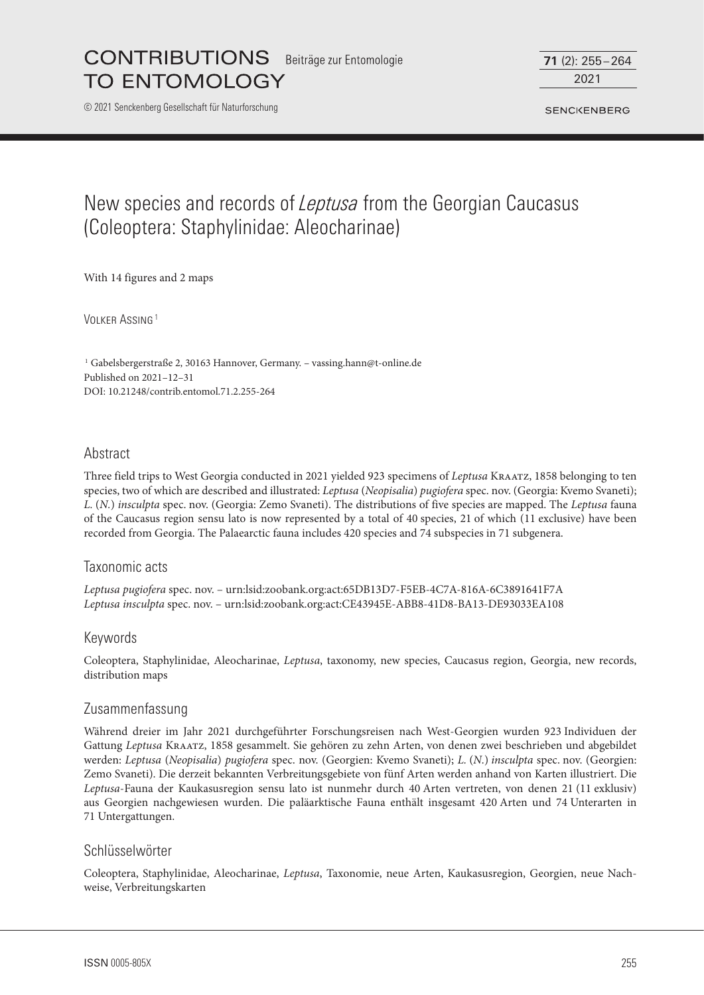Beiträge zur Entomologie

**TO ENTOMOLOGY** 

**CONTRIBUTIONS** 

© 2021 Senckenberg Gesellschaft für Naturforschung

2021 **71** (2): 255–264

**SENCKENBERG** 

# New species and records of *Leptusa* from the Georgian Caucasus (Coleoptera: Staphylinidae: Aleocharinae)

With 14 figures and 2 maps

VOLKER ASSING<sup>1</sup>

<sup>1</sup> Gabelsbergerstraße 2, 30163 Hannover, Germany. – vassing.hann@t-online.de Published on 2021–12–31 DOI: 10.21248/contrib.entomol.71.2.255-264

# Abstract

Three field trips to West Georgia conducted in 2021 yielded 923 specimens of *Leptusa* Kraatz, 1858 belonging to ten species, two of which are described and illustrated: *Leptusa* (*Neopisalia*) *pugiofera* spec. nov. (Georgia: Kvemo Svaneti); *L.* (*N.*) *insculpta* spec. nov. (Georgia: Zemo Svaneti). The distributions of five species are mapped. The *Leptusa* fauna of the Caucasus region sensu lato is now represented by a total of 40 species, 21 of which (11 exclusive) have been recorded from Georgia. The Palaearctic fauna includes 420 species and 74 subspecies in 71 subgenera.

# Taxonomic acts

*Leptusa pugiofera* spec. nov. – urn:lsid:zoobank.org:act:65DB13D7-F5EB-4C7A-816A-6C3891641F7A *Leptusa insculpta* spec. nov. – urn:lsid:zoobank.org:act:CE43945E-ABB8-41D8-BA13-DE93033EA108

# Keywords

Coleoptera, Staphylinidae, Aleocharinae, *Leptusa*, taxonomy, new species, Caucasus region, Georgia, new records, distribution maps

# Zusammenfassung

Während dreier im Jahr 2021 durchgeführter Forschungsreisen nach West-Georgien wurden 923 Individuen der Gattung *Leptusa* Kraatz, 1858 gesammelt. Sie gehören zu zehn Arten, von denen zwei beschrieben und abgebildet werden: *Leptusa* (*Neopisalia*) *pugiofera* spec. nov. (Georgien: Kvemo Svaneti); *L.* (*N.*) *insculpta* spec. nov. (Georgien: Zemo Svaneti). Die derzeit bekannten Verbreitungsgebiete von fünf Arten werden anhand von Karten illustriert. Die *Leptusa*-Fauna der Kaukasusregion sensu lato ist nunmehr durch 40 Arten vertreten, von denen 21 (11 exklusiv) aus Georgien nachgewiesen wurden. Die paläarktische Fauna enthält insgesamt 420 Arten und 74 Unterarten in 71 Untergattungen.

#### Schlüsselwörter

Coleoptera, Staphylinidae, Aleocharinae, *Leptusa*, Taxonomie, neue Arten, Kaukasusregion, Georgien, neue Nachweise, Verbreitungskarten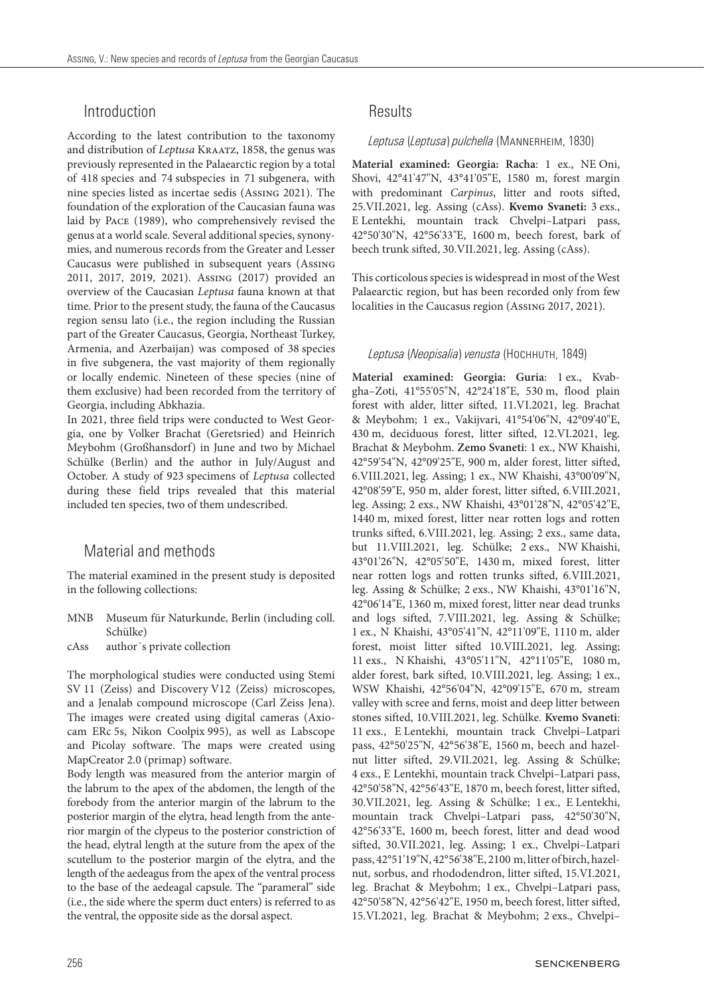# Introduction

According to the latest contribution to the taxonomy and distribution of *Leptusa* KRAATZ, 1858, the genus was previously represented in the Palaearctic region by a total of 418 species and 74 subspecies in 71 subgenera, with nine species listed as incertae sedis (Assing 2021). The foundation of the exploration of the Caucasian fauna was laid by Pace (1989), who comprehensively revised the genus at a world scale. Several additional species, synonymies, and numerous records from the Greater and Lesser Caucasus were published in subsequent years (Assing 2011, 2017, 2019, 2021). Assing (2017) provided an overview of the Caucasian *Leptusa* fauna known at that time. Prior to the present study, the fauna of the Caucasus region sensu lato (i.e., the region including the Russian part of the Greater Caucasus, Georgia, Northeast Turkey, Armenia, and Azerbaijan) was composed of 38 species in five subgenera, the vast majority of them regionally or locally endemic. Nineteen of these species (nine of them exclusive) had been recorded from the territory of Georgia, including Abkhazia.

In 2021, three field trips were conducted to West Georgia, one by Volker Brachat (Geretsried) and Heinrich Meybohm (Großhansdorf) in June and two by Michael Schülke (Berlin) and the author in July/August and October. A study of 923 specimens of *Leptusa* collected during these field trips revealed that this material included ten species, two of them undescribed.

# Material and methods

The material examined in the present study is deposited in the following collections:

- MNB Museum für Naturkunde, Berlin (including coll. Schülke)
- cAss author´s private collection

The morphological studies were conducted using Stemi SV 11 (Zeiss) and Discovery V12 (Zeiss) microscopes, and a Jenalab compound microscope (Carl Zeiss Jena). The images were created using digital cameras (Axiocam ERc 5s, Nikon Coolpix 995), as well as Labscope and Picolay software. The maps were created using MapCreator 2.0 (primap) software.

Body length was measured from the anterior margin of the labrum to the apex of the abdomen, the length of the forebody from the anterior margin of the labrum to the posterior margin of the elytra, head length from the anterior margin of the clypeus to the posterior constriction of the head, elytral length at the suture from the apex of the scutellum to the posterior margin of the elytra, and the length of the aedeagus from the apex of the ventral process to the base of the aedeagal capsule. The "parameral" side (i.e., the side where the sperm duct enters) is referred to as the ventral, the opposite side as the dorsal aspect.

# Results

#### *Leptusa* (*Leptusa*) *pulchella* (Mannerheim, 1830)

**Material examined: Georgia: Racha**: 1 ex., NE Oni, Shovi, 42°41'47"N, 43°41'05"E, 1580 m, forest margin with predominant *Carpinus*, litter and roots sifted, 25.VII.2021, leg. Assing (cAss). **Kvemo Svaneti:** 3 exs., E Lentekhi, mountain track Chvelpi–Latpari pass, 42°50'30"N, 42°56'33"E, 1600 m, beech forest, bark of beech trunk sifted, 30.VII.2021, leg. Assing (cAss).

This corticolous species is widespread in most of the West Palaearctic region, but has been recorded only from few localities in the Caucasus region (Assing 2017, 2021).

#### *Leptusa* (*Neopisalia*) *venusta* (Hochhuth, 1849)

**Material examined: Georgia: Guria**: 1 ex., Kvabgha–Zoti, 41°55'05"N, 42°24'18"E, 530 m, flood plain forest with alder, litter sifted, 11.VI.2021, leg. Brachat & Meybohm; 1 ex., Vakijvari, 41°54'06"N, 42°09'40"E, 430 m, deciduous forest, litter sifted, 12.VI.2021, leg. Brachat & Meybohm. **Zemo Svaneti**: 1 ex., NW Khaishi, 42°59'54"N, 42°09'25"E, 900 m, alder forest, litter sifted, 6.VIII.2021, leg. Assing; 1 ex., NW Khaishi, 43°00'09"N, 42°08'59"E, 950 m, alder forest, litter sifted, 6.VIII.2021, leg. Assing; 2 exs., NW Khaishi, 43°01'28"N, 42°05'42"E, 1440 m, mixed forest, litter near rotten logs and rotten trunks sifted, 6.VIII.2021, leg. Assing; 2 exs., same data, but 11.VIII.2021, leg. Schülke; 2 exs., NW Khaishi, 43°01'26"N, 42°05'50"E, 1430 m, mixed forest, litter near rotten logs and rotten trunks sifted, 6.VIII.2021, leg. Assing & Schülke; 2 exs., NW Khaishi, 43°01'16"N, 42°06'14"E, 1360 m, mixed forest, litter near dead trunks and logs sifted, 7.VIII.2021, leg. Assing & Schülke; 1 ex., N Khaishi, 43°05'41"N, 42°11'09"E, 1110 m, alder forest, moist litter sifted 10.VIII.2021, leg. Assing; 11 exs., N Khaishi, 43°05'11"N, 42°11'05"E, 1080 m, alder forest, bark sifted, 10.VIII.2021, leg. Assing; 1 ex., WSW Khaishi, 42°56'04"N, 42°09'15"E, 670 m, stream valley with scree and ferns, moist and deep litter between stones sifted, 10.VIII.2021, leg. Schülke. **Kvemo Svaneti**: 11 exs., E Lentekhi, mountain track Chvelpi–Latpari pass, 42°50'25"N, 42°56'38"E, 1560 m, beech and hazelnut litter sifted, 29.VII.2021, leg. Assing & Schülke; 4 exs., E Lentekhi, mountain track Chvelpi–Latpari pass, 42°50'58"N, 42°56'43"E, 1870 m, beech forest, litter sifted, 30.VII.2021, leg. Assing & Schülke; 1 ex., E Lentekhi, mountain track Chvelpi–Latpari pass, 42°50'30"N, 42°56'33"E, 1600 m, beech forest, litter and dead wood sifted, 30.VII.2021, leg. Assing; 1 ex., Chvelpi–Latpari pass, 42°51'19"N, 42°56'38"E, 2100 m, litter of birch, hazelnut, sorbus, and rhododendron, litter sifted, 15.VI.2021, leg. Brachat & Meybohm; 1 ex., Chvelpi–Latpari pass, 42°50'58"N, 42°56'42"E, 1950 m, beech forest, litter sifted, 15.VI.2021, leg. Brachat & Meybohm; 2 exs., Chvelpi–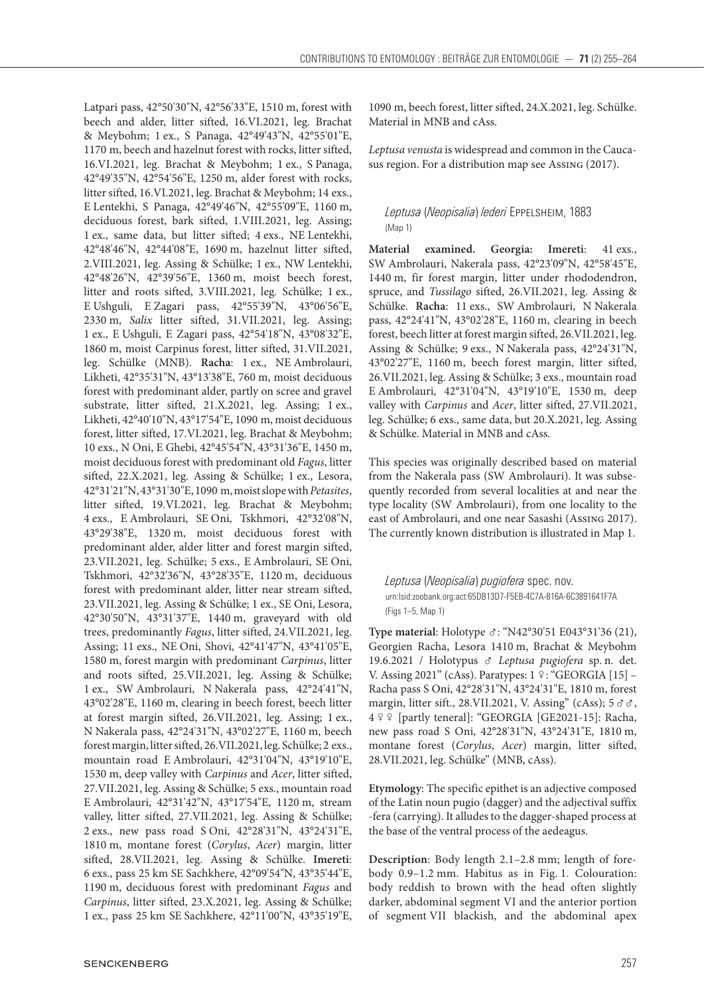Latpari pass, 42°50'30"N, 42°56'33"E, 1510 m, forest with beech and alder, litter sifted, 16.VI.2021, leg. Brachat & Meybohm; 1 ex., S Panaga, 42°49'43"N, 42°55'01"E, 1170 m, beech and hazelnut forest with rocks, litter sifted, 16.VI.2021, leg. Brachat & Meybohm; 1 ex., S Panaga, 42°49'35"N, 42°54'56"E, 1250 m, alder forest with rocks, litter sifted, 16.VI.2021, leg. Brachat & Meybohm; 14 exs., E Lentekhi, S Panaga, 42°49'46"N, 42°55'09"E, 1160 m, deciduous forest, bark sifted, 1.VIII.2021, leg. Assing; 1 ex., same data, but litter sifted; 4 exs., NE Lentekhi, 42°48'46"N, 42°44'08"E, 1690 m, hazelnut litter sifted, 2.VIII.2021, leg. Assing & Schülke; 1 ex., NW Lentekhi, 42°48'26"N, 42°39'56"E, 1360 m, moist beech forest, litter and roots sifted, 3.VIII.2021, leg. Schülke; 1 ex., E Ushguli, E Zagari pass, 42°55'39"N, 43°06'56"E, 2330 m, *Salix* litter sifted, 31.VII.2021, leg. Assing; 1 ex., E Ushguli, E Zagari pass, 42°54'18"N, 43°08'32"E, 1860 m, moist Carpinus forest, litter sifted, 31.VII.2021, leg. Schülke (MNB). **Racha**: 1 ex., NE Ambrolauri, Likheti, 42°35'31"N, 43°13'38"E, 760 m, moist deciduous forest with predominant alder, partly on scree and gravel substrate, litter sifted, 21.X.2021, leg. Assing; 1 ex., Likheti, 42°40'10"N, 43°17'54"E, 1090 m, moist deciduous forest, litter sifted, 17.VI.2021, leg. Brachat & Meybohm; 10 exs., N Oni, E Ghebi, 42°45'54"N, 43°31'36"E, 1450 m, moist deciduous forest with predominant old *Fagus*, litter sifted, 22.X.2021, leg. Assing & Schülke; 1 ex., Lesora, 42°31'21"N, 43°31'30"E, 1090 m, moist slope with *Petasites*, litter sifted, 19.VI.2021, leg. Brachat & Meybohm; 4 exs., E Ambrolauri, SE Oni, Tskhmori, 42°32'08"N, 43°29'38"E, 1320 m, moist deciduous forest with predominant alder, alder litter and forest margin sifted, 23.VII.2021, leg. Schülke; 5 exs., E Ambrolauri, SE Oni, Tskhmori, 42°32'36"N, 43°28'35"E, 1120 m, deciduous forest with predominant alder, litter near stream sifted, 23.VII.2021, leg. Assing & Schülke; 1 ex., SE Oni, Lesora, 42°30'50"N, 43°31'37"E, 1440 m, graveyard with old trees, predominantly *Fagus*, litter sifted, 24.VII.2021, leg. Assing; 11 exs., NE Oni, Shovi, 42°41'47"N, 43°41'05"E, 1580 m, forest margin with predominant *Carpinus*, litter and roots sifted, 25.VII.2021, leg. Assing & Schülke; 1 ex., SW Ambrolauri, N Nakerala pass, 42°24'41"N, 43°02'28"E, 1160 m, clearing in beech forest, beech litter at forest margin sifted, 26.VII.2021, leg. Assing; 1 ex., N Nakerala pass, 42°24'31"N, 43°02'27"E, 1160 m, beech forest margin, litter sifted, 26.VII.2021, leg. Schülke; 2 exs., mountain road E Ambrolauri, 42°31'04"N, 43°19'10"E, 1530 m, deep valley with *Carpinus* and *Acer*, litter sifted, 27.VII.2021, leg. Assing & Schülke; 5 exs., mountain road E Ambrolauri, 42°31'42"N, 43°17'54"E, 1120 m, stream valley, litter sifted, 27.VII.2021, leg. Assing & Schülke; 2 exs., new pass road S Oni, 42°28'31"N, 43°24'31"E, 1810 m, montane forest (*Corylus*, *Acer*) margin, litter sifted, 28.VII.2021, leg. Assing & Schülke. **Imereti**: 6 exs., pass 25 km SE Sachkhere, 42°09'54"N, 43°35'44"E, 1190 m, deciduous forest with predominant *Fagus* and *Carpinus*, litter sifted, 23.X.2021, leg. Assing & Schülke; 1 ex., pass 25 km SE Sachkhere, 42°11'00"N, 43°35'19"E,

*Leptusa venusta* is widespread and common in the Caucasus region. For a distribution map see Assing (2017).

## *Leptusa* (*Neopisalia*) *lederi* Eppelsheim, 1883 (Map 1)

**Material examined. Georgia: Imereti**: 41 exs., SW Ambrolauri, Nakerala pass, 42°23'09"N, 42°58'45"E, 1440 m, fir forest margin, litter under rhododendron, spruce, and *Tussilago* sifted, 26.VII.2021, leg. Assing & Schülke. **Racha**: 11 exs., SW Ambrolauri, N Nakerala pass, 42°24'41"N, 43°02'28"E, 1160 m, clearing in beech forest, beech litter at forest margin sifted, 26.VII.2021, leg. Assing & Schülke; 9 exs., N Nakerala pass, 42°24'31"N, 43°02'27"E, 1160 m, beech forest margin, litter sifted, 26.VII.2021, leg. Assing & Schülke; 3 exs., mountain road E Ambrolauri, 42°31'04"N, 43°19'10"E, 1530 m, deep valley with *Carpinus* and *Acer*, litter sifted, 27.VII.2021, leg. Schülke; 6 exs., same data, but 20.X.2021, leg. Assing & Schülke. Material in MNB and cAss.

This species was originally described based on material from the Nakerala pass (SW Ambrolauri). It was subsequently recorded from several localities at and near the type locality (SW Ambrolauri), from one locality to the east of Ambrolauri, and one near Sasashi (Assing 2017). The currently known distribution is illustrated in Map 1.

*Leptusa* (*Neopisalia*) *pugiofera* spec. nov. urn:lsid:zoobank.org:act:65DB13D7-F5EB-4C7A-816A-6C3891641F7A (Figs 1–5, Map 1)

Type material: Holotype ♂: "N42°30'51 E043°31'36 (21), Georgien Racha, Lesora 1410 m, Brachat & Meybohm 19.6.2021 / Holotypus *Leptusa pugiofera* sp. n. det. V. Assing 2021" (cAss). Paratypes: 1 º: "GEORGIA [15] -Racha pass S Oni, 42°28'31"N, 43°24'31"E, 1810 m, forest margin, litter sift., 28.VII.2021, V. Assing" (cAss); 5 $\sigma \sigma$ , 4  [partly teneral]: "GEORGIA [GE2021-15]: Racha, new pass road S Oni, 42°28'31"N, 43°24'31"E, 1810 m, montane forest (*Corylus*, *Acer*) margin, litter sifted, 28.VII.2021, leg. Schülke" (MNB, cAss).

**Etymology**: The specific epithet is an adjective composed of the Latin noun pugio (dagger) and the adjectival suffix -fera (carrying). It alludes to the dagger-shaped process at the base of the ventral process of the aedeagus.

**Description**: Body length 2.1–2.8 mm; length of forebody 0.9–1.2 mm. Habitus as in Fig. 1. Colouration: body reddish to brown with the head often slightly darker, abdominal segment VI and the anterior portion of segment VII blackish, and the abdominal apex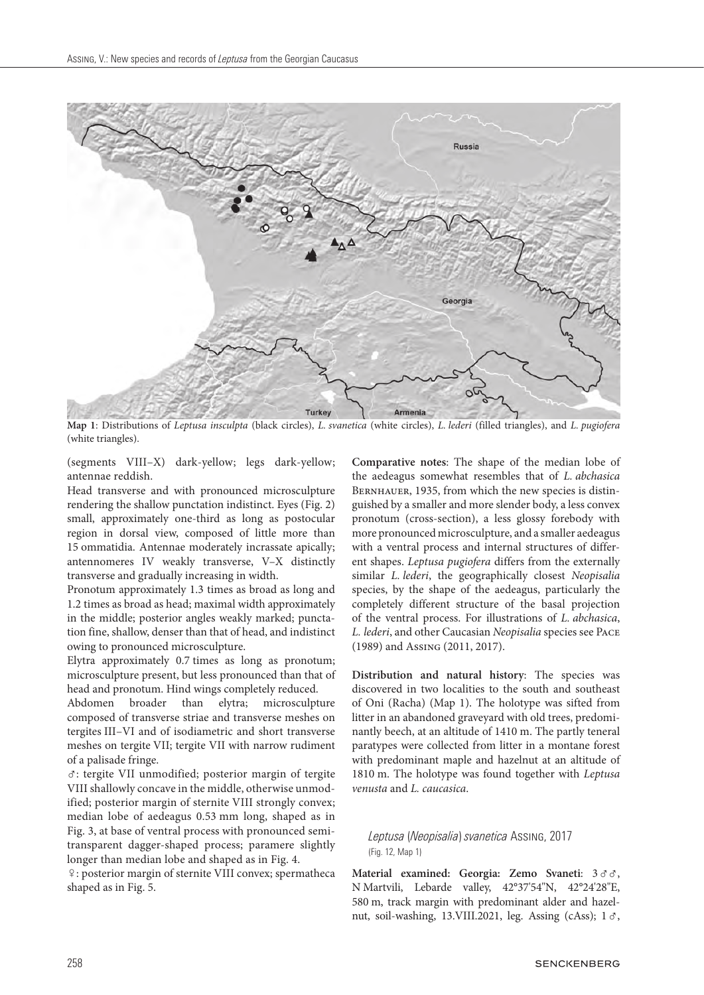

**Map 1**: Distributions of *Leptusa insculpta* (black circles), *L. svanetica* (white circles), *L. lederi* (filled triangles), and *L. pugiofera* (white triangles).

(segments VIII–X) dark-yellow; legs dark-yellow; antennae reddish.

Head transverse and with pronounced microsculpture rendering the shallow punctation indistinct. Eyes (Fig. 2) small, approximately one-third as long as postocular region in dorsal view, composed of little more than 15 ommatidia. Antennae moderately incrassate apically; antennomeres IV weakly transverse, V–X distinctly transverse and gradually increasing in width.

Pronotum approximately 1.3 times as broad as long and 1.2 times as broad as head; maximal width approximately in the middle; posterior angles weakly marked; punctation fine, shallow, denser than that of head, and indistinct owing to pronounced microsculpture.

Elytra approximately 0.7 times as long as pronotum; microsculpture present, but less pronounced than that of head and pronotum. Hind wings completely reduced.

Abdomen broader than elytra; microsculpture composed of transverse striae and transverse meshes on tergites III–VI and of isodiametric and short transverse meshes on tergite VII; tergite VII with narrow rudiment of a palisade fringe.

: tergite VII unmodified; posterior margin of tergite VIII shallowly concave in the middle, otherwise unmodified; posterior margin of sternite VIII strongly convex; median lobe of aedeagus 0.53 mm long, shaped as in Fig. 3, at base of ventral process with pronounced semitransparent dagger-shaped process; paramere slightly longer than median lobe and shaped as in Fig. 4.

: posterior margin of sternite VIII convex; spermatheca shaped as in Fig. 5.

**Comparative notes**: The shape of the median lobe of the aedeagus somewhat resembles that of *L. abchasica* BERNHAUER, 1935, from which the new species is distinguished by a smaller and more slender body, a less convex pronotum (cross-section), a less glossy forebody with more pronounced microsculpture, and a smaller aedeagus with a ventral process and internal structures of different shapes. *Leptusa pugiofera* differs from the externally similar *L. lederi*, the geographically closest *Neopisalia* species, by the shape of the aedeagus, particularly the completely different structure of the basal projection of the ventral process. For illustrations of *L. abchasica*, *L. lederi*, and other Caucasian *Neopisalia* species see Pace (1989) and Assing (2011, 2017).

**Distribution and natural history**: The species was discovered in two localities to the south and southeast of Oni (Racha) (Map 1). The holotype was sifted from litter in an abandoned graveyard with old trees, predominantly beech, at an altitude of 1410 m. The partly teneral paratypes were collected from litter in a montane forest with predominant maple and hazelnut at an altitude of 1810 m. The holotype was found together with *Leptusa venusta* and *L. caucasica*.

#### *Leptusa* (*Neopisalia*) *svanetica* Assing, 2017 (Fig. 12, Map 1)

Material examined: Georgia: Zemo Svaneti:  $3 \delta \delta$ , N Martvili, Lebarde valley, 42°37'54"N, 42°24'28"E, 580 m, track margin with predominant alder and hazelnut, soil-washing, 13.VIII.2021, leg. Assing (cAss);  $1 \, \sigma$ ,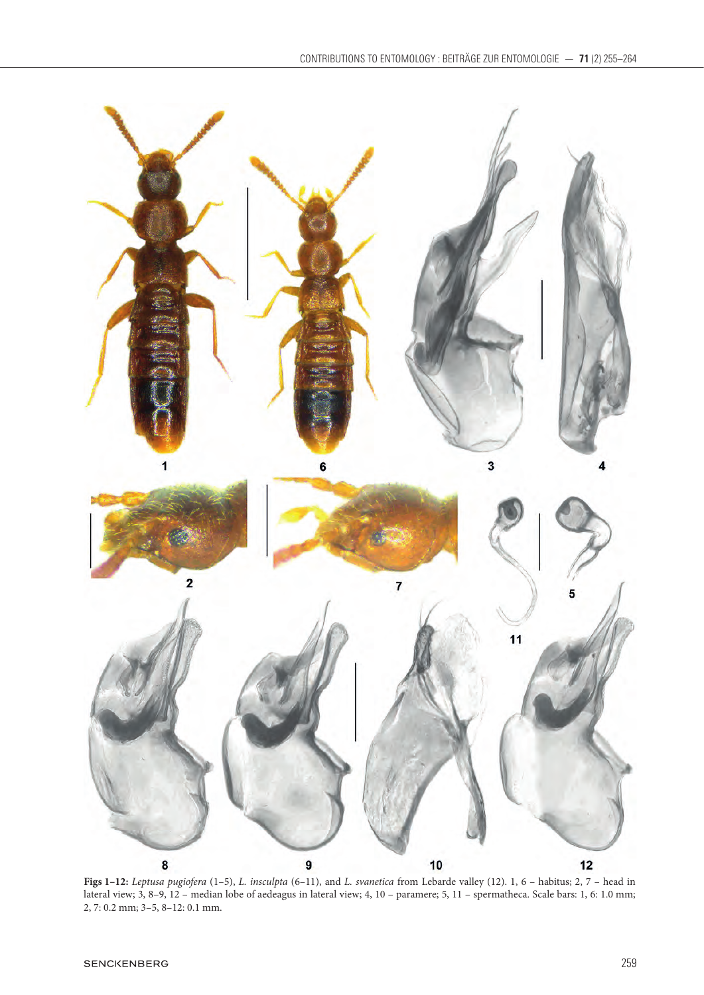

**Figs 1–12:** *Leptusa pugiofera* (1–5), *L. insculpta* (6–11), and *L. svanetica* from Lebarde valley (12). 1, 6 – habitus; 2, 7 – head in lateral view; 3, 8–9, 12 – median lobe of aedeagus in lateral view; 4, 10 – paramere; 5, 11 – spermatheca. Scale bars: 1, 6: 1.0 mm; 2, 7: 0.2 mm; 3–5, 8–12: 0.1 mm.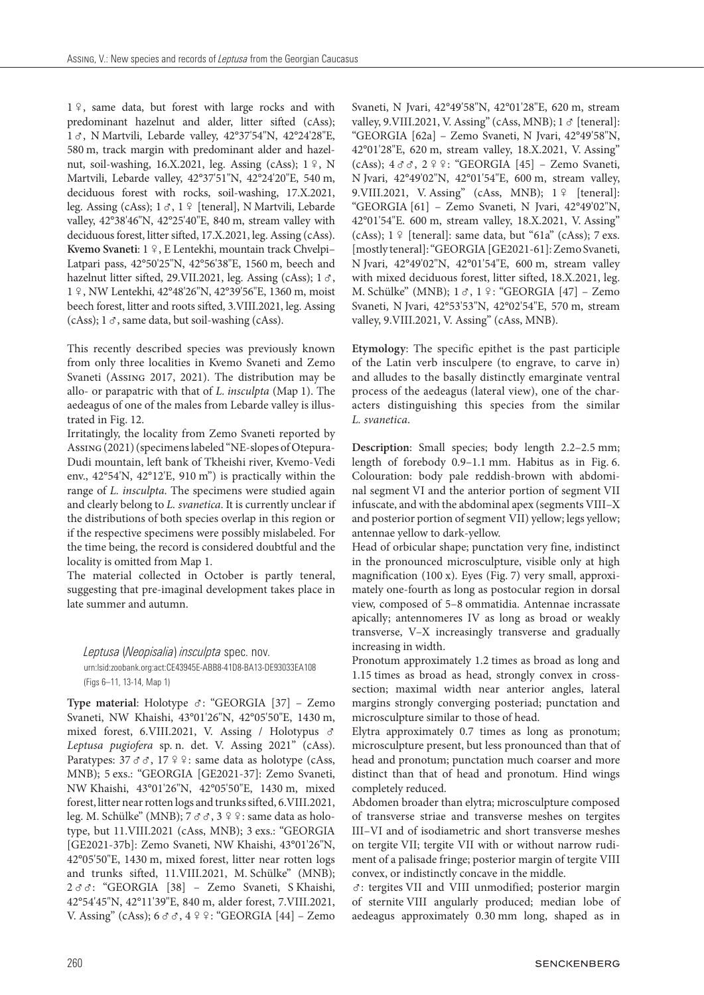1 º, same data, but forest with large rocks and with predominant hazelnut and alder, litter sifted (cAss); 1 3, N Martvili, Lebarde valley, 42°37'54"N, 42°24'28"E, 580 m, track margin with predominant alder and hazelnut, soil-washing, 16.X.2021, leg. Assing (cAss);  $1\frac{9}{7}$ , N Martvili, Lebarde valley, 42°37'51"N, 42°24'20"E, 540 m, deciduous forest with rocks, soil-washing, 17.X.2021, leg. Assing (cAss);  $1 \text{ } \sigma$ ,  $1 \text{ } \frac{\sigma}{2}$  [teneral], N Martvili, Lebarde valley, 42°38'46"N, 42°25'40"E, 840 m, stream valley with deciduous forest, litter sifted, 17.X.2021, leg. Assing (cAss). Kvemo Svaneti: 1 º, E Lentekhi, mountain track Chvelpi-Latpari pass, 42°50'25"N, 42°56'38"E, 1560 m, beech and hazelnut litter sifted, 29.VII.2021, leg. Assing (cAss);  $1 \, \sigma$ , 1 , NW Lentekhi, 42°48'26"N, 42°39'56"E, 1360 m, moist beech forest, litter and roots sifted, 3.VIII.2021, leg. Assing (cAss);  $1 \sigma$ , same data, but soil-washing (cAss).

This recently described species was previously known from only three localities in Kvemo Svaneti and Zemo Svaneti (Assing 2017, 2021). The distribution may be allo- or parapatric with that of *L. insculpta* (Map 1). The aedeagus of one of the males from Lebarde valley is illustrated in Fig. 12.

Irritatingly, the locality from Zemo Svaneti reported by Assing (2021) (specimens labeled "NE-slopes of Otepura-Dudi mountain, left bank of Tkheishi river, Kvemo-Vedi env., 42°54'N, 42°12'E, 910 m") is practically within the range of *L. insculpta*. The specimens were studied again and clearly belong to *L. svanetica*. It is currently unclear if the distributions of both species overlap in this region or if the respective specimens were possibly mislabeled. For the time being, the record is considered doubtful and the locality is omitted from Map 1.

The material collected in October is partly teneral, suggesting that pre-imaginal development takes place in late summer and autumn.

*Leptusa* (*Neopisalia*) *insculpta* spec. nov. urn:lsid:zoobank.org:act:CE43945E-ABB8-41D8-BA13-DE93033EA108 (Figs 6–11, 13-14, Map 1)

Type material: Holotype &: "GEORGIA [37] - Zemo Svaneti, NW Khaishi, 43°01'26"N, 42°05'50"E, 1430 m, mixed forest, 6.VIII.2021, V. Assing / Holotypus & *Leptusa pugiofera* sp. n. det. V. Assing 2021" (cAss). Paratypes:  $37 \text{ } \sigma \sigma$ ,  $17 \text{ } \frac{\varphi}{\varphi}$ : same data as holotype (cAss, MNB); 5 exs.: "GEORGIA [GE2021-37]: Zemo Svaneti, NW Khaishi, 43°01'26"N, 42°05'50"E, 1430 m, mixed forest, litter near rotten logs and trunks sifted, 6.VIII.2021, leg. M. Schülke" (MNB); 7 & &, 3 º º : same data as holotype, but 11.VIII.2021 (cAss, MNB); 3 exs.: "GEORGIA [GE2021-37b]: Zemo Svaneti, NW Khaishi, 43°01'26"N, 42°05'50"E, 1430 m, mixed forest, litter near rotten logs and trunks sifted, 11.VIII.2021, M. Schülke" (MNB); 2 $\sigma \sigma$ : "GEORGIA [38] – Zemo Svaneti, S Khaishi, 42°54'45"N, 42°11'39"E, 840 m, alder forest, 7.VIII.2021, V. Assing" (cAss); 6 σ σ, 4 º º: "GEORGIA [44] - Zemo

Svaneti, N Jvari, 42°49'58"N, 42°01'28"E, 620 m, stream valley, 9.VIII.2021, V. Assing" (cAss, MNB);  $1 \, \sigma$  [teneral]: "GEORGIA [62a] – Zemo Svaneti, N Jvari, 42°49'58"N, 42°01'28"E, 620 m, stream valley, 18.X.2021, V. Assing" (cAss);  $4 \text{ } \sigma \sigma$ ,  $2 \text{ } \frac{\varphi}{\sigma}$ : "GEORGIA [45] – Zemo Svaneti, N Jvari, 42°49'02"N, 42°01'54"E, 600 m, stream valley, 9. VIII. 2021, V. Assing" (cAss, MNB); 1 º [teneral]: "GEORGIA [61] – Zemo Svaneti, N Jvari, 42°49'02"N, 42°01'54"E. 600 m, stream valley, 18.X.2021, V. Assing"  $(cAss); 1 \nsubseteq$  [teneral]: same data, but "61a" (cAss); 7 exs. [mostly teneral]: "GEORGIA [GE2021-61]: Zemo Svaneti, N Jvari, 42°49'02"N, 42°01'54"E, 600 m, stream valley with mixed deciduous forest, litter sifted, 18.X.2021, leg. M. Schülke" (MNB); 1 &, 1 º: "GEORGIA [47] - Zemo Svaneti, N Jvari, 42°53'53"N, 42°02'54"E, 570 m, stream valley, 9.VIII.2021, V. Assing" (cAss, MNB).

**Etymology**: The specific epithet is the past participle of the Latin verb insculpere (to engrave, to carve in) and alludes to the basally distinctly emarginate ventral process of the aedeagus (lateral view), one of the characters distinguishing this species from the similar *L. svanetica*.

**Description**: Small species; body length 2.2–2.5 mm; length of forebody 0.9–1.1 mm. Habitus as in Fig. 6. Colouration: body pale reddish-brown with abdominal segment VI and the anterior portion of segment VII infuscate, and with the abdominal apex (segments VIII–X and posterior portion of segment VII) yellow; legs yellow; antennae yellow to dark-yellow.

Head of orbicular shape; punctation very fine, indistinct in the pronounced microsculpture, visible only at high magnification (100 x). Eyes (Fig. 7) very small, approximately one-fourth as long as postocular region in dorsal view, composed of 5–8 ommatidia. Antennae incrassate apically; antennomeres IV as long as broad or weakly transverse, V–X increasingly transverse and gradually increasing in width.

Pronotum approximately 1.2 times as broad as long and 1.15 times as broad as head, strongly convex in crosssection; maximal width near anterior angles, lateral margins strongly converging posteriad; punctation and microsculpture similar to those of head.

Elytra approximately 0.7 times as long as pronotum; microsculpture present, but less pronounced than that of head and pronotum; punctation much coarser and more distinct than that of head and pronotum. Hind wings completely reduced.

Abdomen broader than elytra; microsculpture composed of transverse striae and transverse meshes on tergites III–VI and of isodiametric and short transverse meshes on tergite VII; tergite VII with or without narrow rudiment of a palisade fringe; posterior margin of tergite VIII convex, or indistinctly concave in the middle.

: tergites VII and VIII unmodified; posterior margin of sternite VIII angularly produced; median lobe of aedeagus approximately 0.30 mm long, shaped as in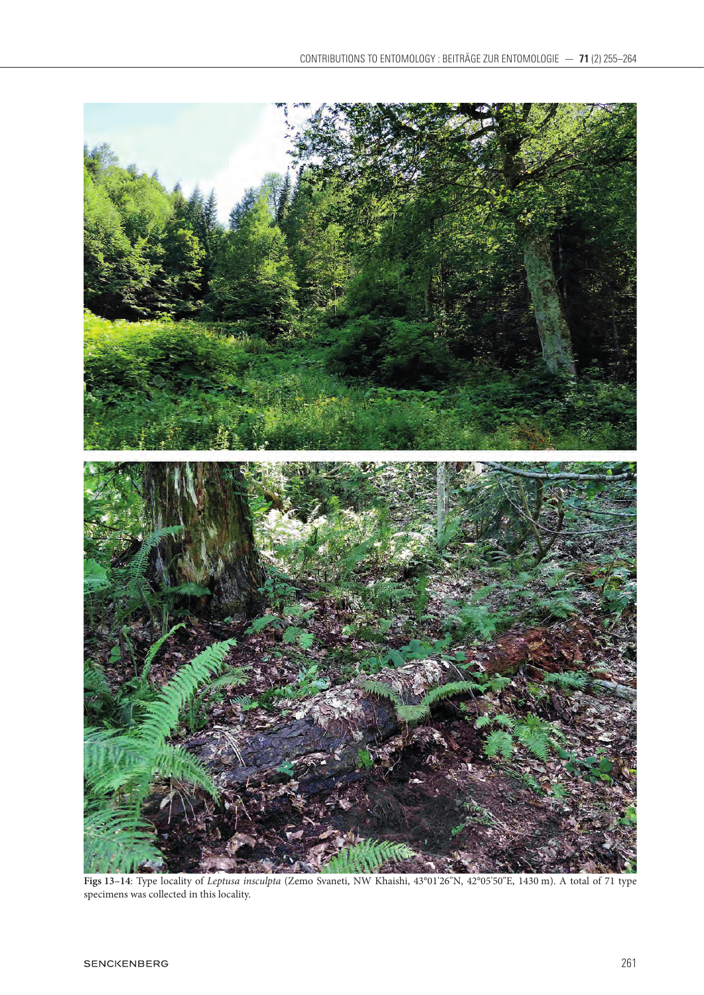

**Figs 13–14**: Type locality of *Leptusa insculpta* (Zemo Svaneti, NW Khaishi, 43°01'26"N, 42°05'50"E, 1430 m). A total of 71 type specimens was collected in this locality.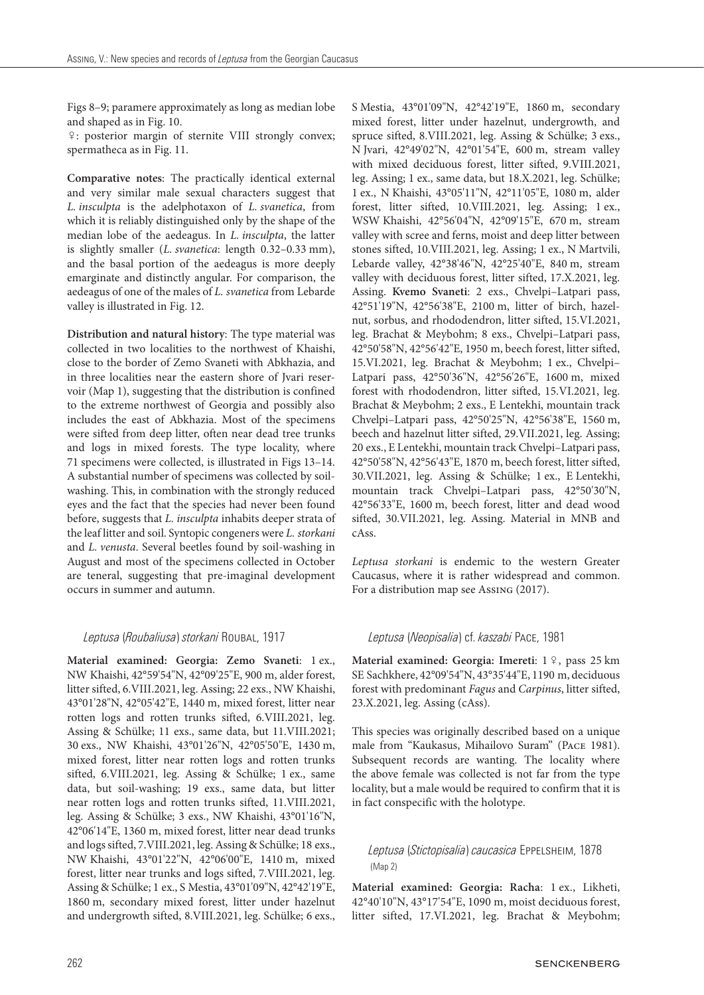Figs 8–9; paramere approximately as long as median lobe and shaped as in Fig. 10.

: posterior margin of sternite VIII strongly convex; spermatheca as in Fig. 11.

**Comparative notes**: The practically identical external and very similar male sexual characters suggest that *L. insculpta* is the adelphotaxon of *L. svanetica*, from which it is reliably distinguished only by the shape of the median lobe of the aedeagus. In *L. insculpta*, the latter is slightly smaller (*L. svanetica*: length 0.32–0.33 mm), and the basal portion of the aedeagus is more deeply emarginate and distinctly angular. For comparison, the aedeagus of one of the males of *L. svanetica* from Lebarde valley is illustrated in Fig. 12.

**Distribution and natural history**: The type material was collected in two localities to the northwest of Khaishi, close to the border of Zemo Svaneti with Abkhazia, and in three localities near the eastern shore of Jvari reservoir (Map 1), suggesting that the distribution is confined to the extreme northwest of Georgia and possibly also includes the east of Abkhazia. Most of the specimens were sifted from deep litter, often near dead tree trunks and logs in mixed forests. The type locality, where 71 specimens were collected, is illustrated in Figs 13–14. A substantial number of specimens was collected by soilwashing. This, in combination with the strongly reduced eyes and the fact that the species had never been found before, suggests that *L. insculpta* inhabits deeper strata of the leaf litter and soil. Syntopic congeners were *L. storkani* and *L. venusta*. Several beetles found by soil-washing in August and most of the specimens collected in October are teneral, suggesting that pre-imaginal development occurs in summer and autumn.

#### *Leptusa* (*Roubaliusa*) *storkani* Roubal, 1917

**Material examined: Georgia: Zemo Svaneti**: 1 ex., NW Khaishi, 42°59'54"N, 42°09'25"E, 900 m, alder forest, litter sifted, 6.VIII.2021, leg. Assing; 22 exs., NW Khaishi, 43°01'28"N, 42°05'42"E, 1440 m, mixed forest, litter near rotten logs and rotten trunks sifted, 6.VIII.2021, leg. Assing & Schülke; 11 exs., same data, but 11.VIII.2021; 30 exs., NW Khaishi, 43°01'26"N, 42°05'50"E, 1430 m, mixed forest, litter near rotten logs and rotten trunks sifted, 6.VIII.2021, leg. Assing & Schülke; 1 ex., same data, but soil-washing; 19 exs., same data, but litter near rotten logs and rotten trunks sifted, 11.VIII.2021, leg. Assing & Schülke; 3 exs., NW Khaishi, 43°01'16"N, 42°06'14"E, 1360 m, mixed forest, litter near dead trunks and logs sifted, 7.VIII.2021, leg. Assing & Schülke; 18 exs., NW Khaishi, 43°01'22"N, 42°06'00"E, 1410 m, mixed forest, litter near trunks and logs sifted, 7.VIII.2021, leg. Assing & Schülke; 1 ex., S Mestia, 43°01'09"N, 42°42'19"E, 1860 m, secondary mixed forest, litter under hazelnut and undergrowth sifted, 8.VIII.2021, leg. Schülke; 6 exs.,

S Mestia, 43°01'09"N, 42°42'19"E, 1860 m, secondary mixed forest, litter under hazelnut, undergrowth, and spruce sifted, 8.VIII.2021, leg. Assing & Schülke; 3 exs., N Jvari, 42°49'02"N, 42°01'54"E, 600 m, stream valley with mixed deciduous forest, litter sifted, 9.VIII.2021, leg. Assing; 1 ex., same data, but 18.X.2021, leg. Schülke; 1 ex., N Khaishi, 43°05'11"N, 42°11'05"E, 1080 m, alder forest, litter sifted, 10.VIII.2021, leg. Assing; 1 ex., WSW Khaishi, 42°56'04"N, 42°09'15"E, 670 m, stream valley with scree and ferns, moist and deep litter between stones sifted, 10.VIII.2021, leg. Assing; 1 ex., N Martvili, Lebarde valley, 42°38'46"N, 42°25'40"E, 840 m, stream valley with deciduous forest, litter sifted, 17.X.2021, leg. Assing. **Kvemo Svaneti**: 2 exs., Chvelpi–Latpari pass, 42°51'19"N, 42°56'38"E, 2100 m, litter of birch, hazelnut, sorbus, and rhododendron, litter sifted, 15.VI.2021, leg. Brachat & Meybohm; 8 exs., Chvelpi–Latpari pass, 42°50'58"N, 42°56'42"E, 1950 m, beech forest, litter sifted, 15.VI.2021, leg. Brachat & Meybohm; 1 ex., Chvelpi– Latpari pass, 42°50'36"N, 42°56'26"E, 1600 m, mixed forest with rhododendron, litter sifted, 15.VI.2021, leg. Brachat & Meybohm; 2 exs., E Lentekhi, mountain track Chvelpi–Latpari pass, 42°50'25"N, 42°56'38"E, 1560 m, beech and hazelnut litter sifted, 29.VII.2021, leg. Assing; 20 exs., E Lentekhi, mountain track Chvelpi–Latpari pass, 42°50'58"N, 42°56'43"E, 1870 m, beech forest, litter sifted, 30.VII.2021, leg. Assing & Schülke; 1 ex., E Lentekhi, mountain track Chvelpi–Latpari pass, 42°50'30"N, 42°56'33"E, 1600 m, beech forest, litter and dead wood sifted, 30.VII.2021, leg. Assing. Material in MNB and cAss.

*Leptusa storkani* is endemic to the western Greater Caucasus, where it is rather widespread and common. For a distribution map see Assing (2017).

#### *Leptusa* (*Neopisalia*) cf. *kaszabi* Pace, 1981

Material examined: Georgia: Imereti: 1 º, pass 25 km SE Sachkhere, 42°09'54"N, 43°35'44"E, 1190 m, deciduous forest with predominant *Fagus* and *Carpinus*, litter sifted, 23.X.2021, leg. Assing (cAss).

This species was originally described based on a unique male from "Kaukasus, Mihailovo Suram" (Pace 1981). Subsequent records are wanting. The locality where the above female was collected is not far from the type locality, but a male would be required to confirm that it is in fact conspecific with the holotype.

#### *Leptusa* (*Stictopisalia*) *caucasica* Eppelsheim, 1878 (Map 2)

**Material examined: Georgia: Racha**: 1 ex., Likheti, 42°40'10"N, 43°17'54"E, 1090 m, moist deciduous forest, litter sifted, 17.VI.2021, leg. Brachat & Meybohm;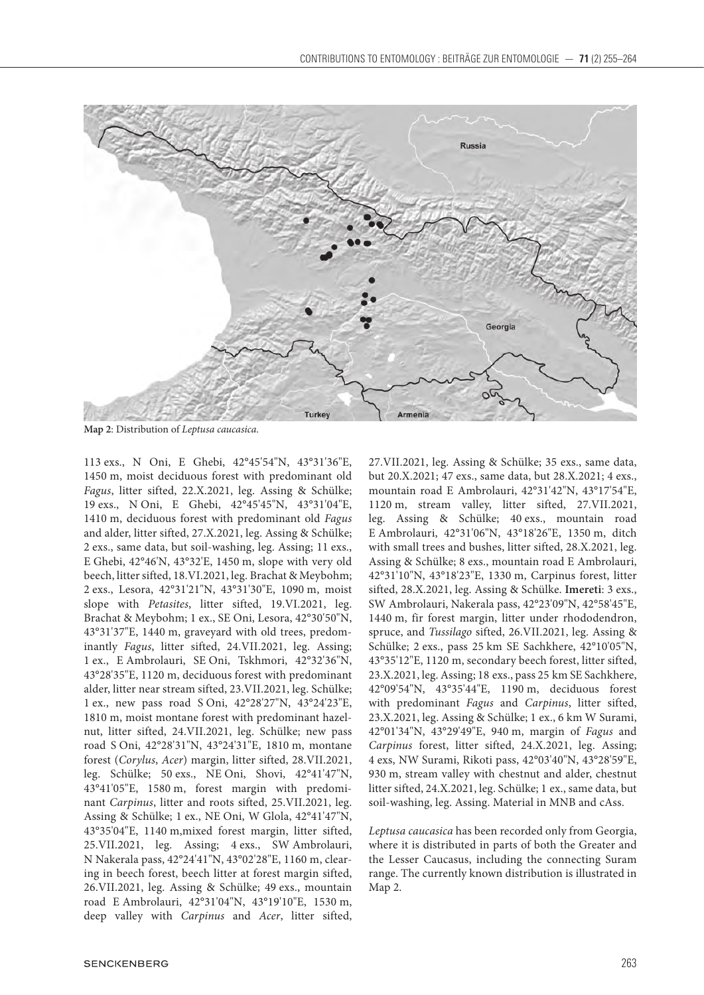

**Map 2**: Distribution of *Leptusa caucasica*.

113 exs., N Oni, E Ghebi, 42°45'54"N, 43°31'36"E, 1450 m, moist deciduous forest with predominant old *Fagus*, litter sifted, 22.X.2021, leg. Assing & Schülke; 19 exs., N Oni, E Ghebi, 42°45'45"N, 43°31'04"E, 1410 m, deciduous forest with predominant old *Fagus* and alder, litter sifted, 27.X.2021, leg. Assing & Schülke; 2 exs., same data, but soil-washing, leg. Assing; 11 exs., E Ghebi, 42°46'N, 43°32'E, 1450 m, slope with very old beech, litter sifted, 18.VI.2021, leg. Brachat & Meybohm; 2 exs., Lesora, 42°31'21"N, 43°31'30"E, 1090 m, moist slope with *Petasites*, litter sifted, 19.VI.2021, leg. Brachat & Meybohm; 1 ex., SE Oni, Lesora, 42°30'50"N, 43°31'37"E, 1440 m, graveyard with old trees, predominantly *Fagus*, litter sifted, 24.VII.2021, leg. Assing; 1 ex., E Ambrolauri, SE Oni, Tskhmori, 42°32'36"N, 43°28'35"E, 1120 m, deciduous forest with predominant alder, litter near stream sifted, 23.VII.2021, leg. Schülke; 1 ex., new pass road S Oni, 42°28'27"N, 43°24'23"E, 1810 m, moist montane forest with predominant hazelnut, litter sifted, 24.VII.2021, leg. Schülke; new pass road S Oni, 42°28'31"N, 43°24'31"E, 1810 m, montane forest (*Corylus*, *Acer*) margin, litter sifted, 28.VII.2021, leg. Schülke; 50 exs., NE Oni, Shovi, 42°41'47"N, 43°41'05"E, 1580 m, forest margin with predominant *Carpinus*, litter and roots sifted, 25.VII.2021, leg. Assing & Schülke; 1 ex., NE Oni, W Glola, 42°41'47"N, 43°35'04"E, 1140 m,mixed forest margin, litter sifted, 25.VII.2021, leg. Assing; 4 exs., SW Ambrolauri, N Nakerala pass, 42°24'41"N, 43°02'28"E, 1160 m, clearing in beech forest, beech litter at forest margin sifted, 26.VII.2021, leg. Assing & Schülke; 49 exs., mountain road E Ambrolauri, 42°31'04"N, 43°19'10"E, 1530 m, deep valley with *Carpinus* and *Acer*, litter sifted,

27.VII.2021, leg. Assing & Schülke; 35 exs., same data, but 20.X.2021; 47 exs., same data, but 28.X.2021; 4 exs., mountain road E Ambrolauri, 42°31'42"N, 43°17'54"E, 1120 m, stream valley, litter sifted, 27.VII.2021, leg. Assing & Schülke; 40 exs., mountain road E Ambrolauri, 42°31'06"N, 43°18'26"E, 1350 m, ditch with small trees and bushes, litter sifted, 28.X.2021, leg. Assing & Schülke; 8 exs., mountain road E Ambrolauri, 42°31'10"N, 43°18'23"E, 1330 m, Carpinus forest, litter sifted, 28.X.2021, leg. Assing & Schülke. **Imereti**: 3 exs., SW Ambrolauri, Nakerala pass, 42°23'09"N, 42°58'45"E, 1440 m, fir forest margin, litter under rhododendron, spruce, and *Tussilago* sifted, 26.VII.2021, leg. Assing & Schülke; 2 exs., pass 25 km SE Sachkhere, 42°10'05"N, 43°35'12"E, 1120 m, secondary beech forest, litter sifted, 23.X.2021, leg. Assing; 18 exs., pass 25 km SE Sachkhere, 42°09'54"N, 43°35'44"E, 1190 m, deciduous forest with predominant *Fagus* and *Carpinus*, litter sifted, 23.X.2021, leg. Assing & Schülke; 1 ex., 6 km W Surami, 42°01'34"N, 43°29'49"E, 940 m, margin of *Fagus* and *Carpinus* forest, litter sifted, 24.X.2021, leg. Assing; 4 exs, NW Surami, Rikoti pass, 42°03'40"N, 43°28'59"E, 930 m, stream valley with chestnut and alder, chestnut litter sifted, 24.X.2021, leg. Schülke; 1 ex., same data, but soil-washing, leg. Assing. Material in MNB and cAss.

*Leptusa caucasica* has been recorded only from Georgia, where it is distributed in parts of both the Greater and the Lesser Caucasus, including the connecting Suram range. The currently known distribution is illustrated in Map 2.